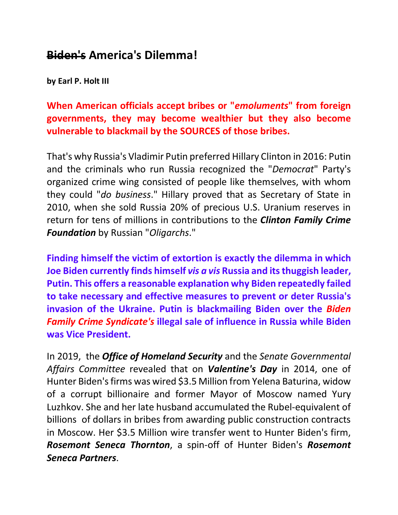## **Biden's America's Dilemma!**

**by Earl P. Holt III**

**When American officials accept bribes or "***emoluments***" from foreign governments, they may become wealthier but they also become vulnerable to blackmail by the SOURCES of those bribes.** 

That's why Russia's Vladimir Putin preferred Hillary Clinton in 2016: Putin and the criminals who run Russia recognized the "*Democrat*" Party's organized crime wing consisted of people like themselves, with whom they could "*do business*." Hillary proved that as Secretary of State in 2010, when she sold Russia 20% of precious U.S. Uranium reserves in return for tens of millions in contributions to the *Clinton Family Crime Foundation* by Russian "*Oligarchs*."

**Finding himself the victim of extortion is exactly the dilemma in which Joe Biden currently finds himself** *vis a vis* **Russia and its thuggish leader, Putin. This offers a reasonable explanation why Biden repeatedly failed to take necessary and effective measures to prevent or deter Russia's invasion of the Ukraine. Putin is blackmailing Biden over the** *Biden Family Crime Syndicate's* **illegal sale of influence in Russia while Biden was Vice President.**

In 2019, the *Office of Homeland Security* and the *Senate Governmental Affairs Committee* revealed that on *Valentine's Day* in 2014, one of Hunter Biden's firms was wired \$3.5 Million from Yelena Baturina, widow of a corrupt billionaire and former Mayor of Moscow named Yury Luzhkov. She and her late husband accumulated the Rubel-equivalent of billions of dollars in bribes from awarding public construction contracts in Moscow. Her \$3.5 Million wire transfer went to Hunter Biden's firm, *Rosemont Seneca Thornton*, a spin-off of Hunter Biden's *Rosemont Seneca Partners*.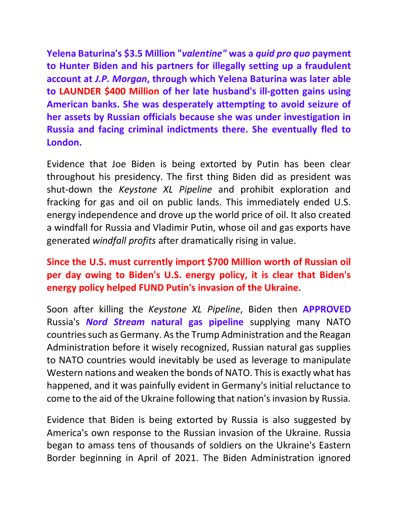**Yelena Baturina's \$3.5 Million "***valentine"* **was a** *quid pro quo* **payment to Hunter Biden and his partners for illegally setting up a fraudulent account at** *J.P. Morgan***, through which Yelena Baturina was later able to LAUNDER \$400 Million of her late husband's ill-gotten gains using American banks. She was desperately attempting to avoid seizure of her assets by Russian officials because she was under investigation in Russia and facing criminal indictments there. She eventually fled to London.**

Evidence that Joe Biden is being extorted by Putin has been clear throughout his presidency. The first thing Biden did as president was shut-down the *Keystone XL Pipeline* and prohibit exploration and fracking for gas and oil on public lands. This immediately ended U.S. energy independence and drove up the world price of oil. It also created a windfall for Russia and Vladimir Putin, whose oil and gas exports have generated *windfall profits* after dramatically rising in value.

## **Since the U.S. must currently import \$700 Million worth of Russian oil per day owing to Biden's U.S. energy policy, it is clear that Biden's energy policy helped FUND Putin's invasion of the Ukraine.**

Soon after killing the *Keystone XL Pipeline*, Biden then **APPROVED** Russia's *Nord Stream* **natural gas pipeline** supplying many NATO countries such as Germany. As the Trump Administration and the Reagan Administration before it wisely recognized, Russian natural gas supplies to NATO countries would inevitably be used as leverage to manipulate Western nations and weaken the bonds of NATO. This is exactly what has happened, and it was painfully evident in Germany's initial reluctance to come to the aid of the Ukraine following that nation's invasion by Russia.

Evidence that Biden is being extorted by Russia is also suggested by America's own response to the Russian invasion of the Ukraine. Russia began to amass tens of thousands of soldiers on the Ukraine's Eastern Border beginning in April of 2021. The Biden Administration ignored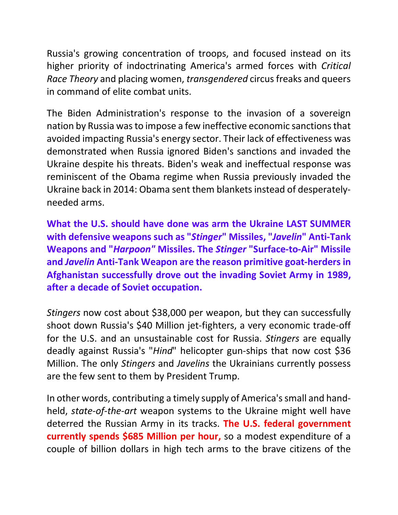Russia's growing concentration of troops, and focused instead on its higher priority of indoctrinating America's armed forces with *Critical Race Theory* and placing women, *transgendered* circus freaks and queers in command of elite combat units.

The Biden Administration's response to the invasion of a sovereign nation by Russia was to impose a few ineffective economic sanctionsthat avoided impacting Russia's energy sector. Their lack of effectiveness was demonstrated when Russia ignored Biden's sanctions and invaded the Ukraine despite his threats. Biden's weak and ineffectual response was reminiscent of the Obama regime when Russia previously invaded the Ukraine back in 2014: Obama sent them blankets instead of desperatelyneeded arms.

**What the U.S. should have done was arm the Ukraine LAST SUMMER with defensive weapons such as "***Stinger***" Missiles, "***Javelin***" Anti-Tank Weapons and "***Harpoon"* **Missiles. The** *Stinger* **"Surface-to-Air" Missile and** *Javelin* **Anti-Tank Weapon are the reason primitive goat-herders in Afghanistan successfully drove out the invading Soviet Army in 1989, after a decade of Soviet occupation.**

*Stingers* now cost about \$38,000 per weapon, but they can successfully shoot down Russia's \$40 Million jet-fighters, a very economic trade-off for the U.S. and an unsustainable cost for Russia. *Stingers* are equally deadly against Russia's "*Hind*" helicopter gun-ships that now cost \$36 Million. The only *Stingers* and *Javelins* the Ukrainians currently possess are the few sent to them by President Trump.

In other words, contributing a timely supply of America's small and handheld, *state-of-the-art* weapon systems to the Ukraine might well have deterred the Russian Army in its tracks. **The U.S. federal government currently spends \$685 Million per hour,** so a modest expenditure of a couple of billion dollars in high tech arms to the brave citizens of the